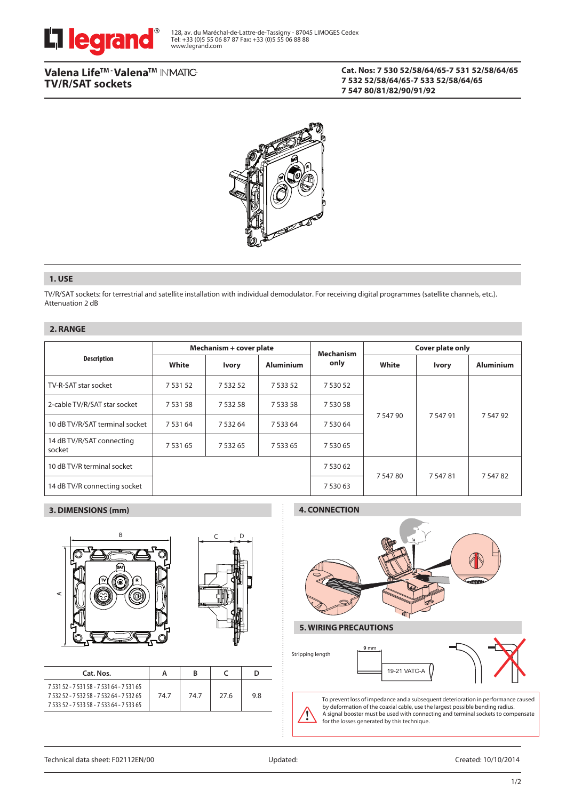

# Valena Life™ · Valena™ IN'MATIC-**TV/R/SAT sockets**

### **Cat. Nos: 7 530 52/58/64/65-7 531 52/58/64/65 7 532 52/58/64/65-7 533 52/58/64/65 7 547 80/81/82/90/91/92**



## **1. USE**

TV/R/SAT sockets: for terrestrial and satellite installation with individual demodulator. For receiving digital programmes (satellite channels, etc.). Attenuation 2 dB

## **2. RANGE**

|                                     | Mechanism + cover plate |              |                  | <b>Mechanism</b> | <b>Cover plate only</b> |              |                  |  |
|-------------------------------------|-------------------------|--------------|------------------|------------------|-------------------------|--------------|------------------|--|
| <b>Description</b>                  | White                   | <b>Ivory</b> | <b>Aluminium</b> | only             | White                   | <b>Ivory</b> | <b>Aluminium</b> |  |
| TV-R-SAT star socket                | 7 5 3 1 5 2             | 7 5 3 2 5 2  | 7 5 3 5 2        | 7 530 52         |                         | 7 547 91     | 7 5 4 7 9 2      |  |
| 2-cable TV/R/SAT star socket        | 7 5 3 1 5 8             | 7 5 3 2 5 8  | 7 5 3 3 5 8      | 7 530 58         |                         |              |                  |  |
| 10 dB TV/R/SAT terminal socket      | 7 5 3 1 6 4             | 7 5 3 2 6 4  | 7 5 3 3 6 4      | 7 530 64         | 7 547 90                |              |                  |  |
| 14 dB TV/R/SAT connecting<br>socket | 7 5 3 1 6 5             | 7 5 3 2 6 5  | 7 5 3 3 6 5      | 7 530 65         |                         |              |                  |  |
| 10 dB TV/R terminal socket          |                         |              |                  | 7 530 62         | 7 547 80                | 7 5 4 7 8 1  | 7 547 82         |  |
| 14 dB TV/R connecting socket        |                         |              |                  | 7 530 63         |                         |              |                  |  |

## **3. DIMENSIONS (mm)**





| Cat. Nos.                                                                                                                           | А    | B    |      |    |
|-------------------------------------------------------------------------------------------------------------------------------------|------|------|------|----|
| 7 531 52 - 7 531 58 - 7 531 64 - 7 531 65<br>7 532 52 - 7 532 58 - 7 532 64 - 7 532 65<br>7 533 52 - 7 533 58 - 7 533 64 - 7 533 65 | 74.7 | 74.7 | 27.6 | 98 |